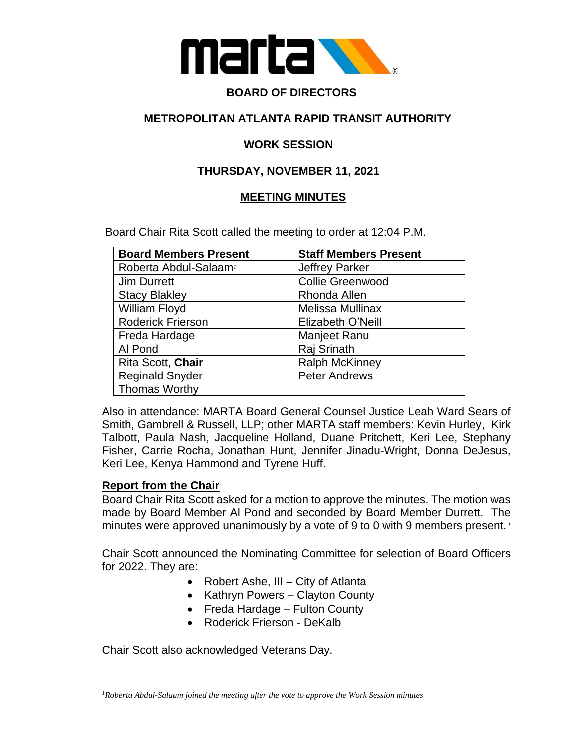

#### **BOARD OF DIRECTORS**

#### **METROPOLITAN ATLANTA RAPID TRANSIT AUTHORITY**

#### **WORK SESSION**

#### **THURSDAY, NOVEMBER 11, 2021**

#### **MEETING MINUTES**

Board Chair Rita Scott called the meeting to order at 12:04 P.M.

| <b>Board Members Present</b>      | <b>Staff Members Present</b> |
|-----------------------------------|------------------------------|
| Roberta Abdul-Salaam <sup>1</sup> | <b>Jeffrey Parker</b>        |
| <b>Jim Durrett</b>                | <b>Collie Greenwood</b>      |
| <b>Stacy Blakley</b>              | Rhonda Allen                 |
| William Floyd                     | Melissa Mullinax             |
| <b>Roderick Frierson</b>          | Elizabeth O'Neill            |
| Freda Hardage                     | Manjeet Ranu                 |
| Al Pond                           | Raj Srinath                  |
| Rita Scott, Chair                 | <b>Ralph McKinney</b>        |
| <b>Reginald Snyder</b>            | <b>Peter Andrews</b>         |
| <b>Thomas Worthy</b>              |                              |

Also in attendance: MARTA Board General Counsel Justice Leah Ward Sears of Smith, Gambrell & Russell, LLP; other MARTA staff members: Kevin Hurley, Kirk Talbott, Paula Nash, Jacqueline Holland, Duane Pritchett, Keri Lee, Stephany Fisher, Carrie Rocha, Jonathan Hunt, Jennifer Jinadu-Wright, Donna DeJesus, Keri Lee, Kenya Hammond and Tyrene Huff.

#### **Report from the Chair**

Board Chair Rita Scott asked for a motion to approve the minutes. The motion was made by Board Member Al Pond and seconded by Board Member Durrett. The minutes were approved unanimously by a vote of 9 to 0 with 9 members present. *<sup>1</sup>*

Chair Scott announced the Nominating Committee for selection of Board Officers for 2022. They are:

- Robert Ashe, III City of Atlanta
- Kathryn Powers Clayton County
- Freda Hardage Fulton County
- Roderick Frierson DeKalb

Chair Scott also acknowledged Veterans Day.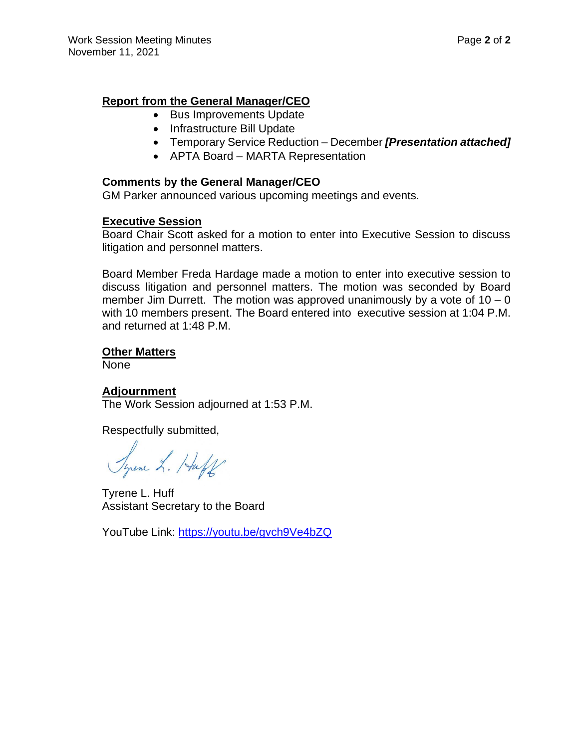#### **Report from the General Manager/CEO**

- Bus Improvements Update
- Infrastructure Bill Update
- Temporary Service Reduction December *[Presentation attached]*
- APTA Board MARTA Representation

#### **Comments by the General Manager/CEO**

GM Parker announced various upcoming meetings and events.

#### **Executive Session**

Board Chair Scott asked for a motion to enter into Executive Session to discuss litigation and personnel matters.

Board Member Freda Hardage made a motion to enter into executive session to discuss litigation and personnel matters. The motion was seconded by Board member Jim Durrett. The motion was approved unanimously by a vote of  $10 - 0$ with 10 members present. The Board entered into executive session at 1:04 P.M. and returned at 1:48 P.M.

#### **Other Matters**

None

#### **Adjournment**

The Work Session adjourned at 1:53 P.M.

Respectfully submitted,

Syrene L. Haff

Tyrene L. Huff Assistant Secretary to the Board

YouTube Link:<https://youtu.be/gvch9Ve4bZQ>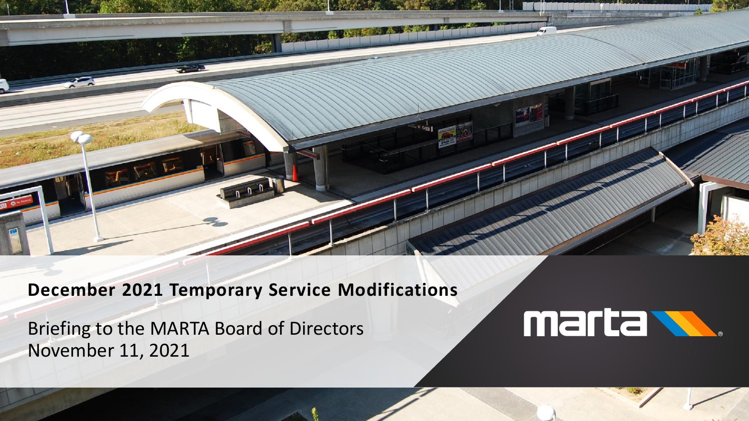

# **December 2021 Temporary Service Modifications**

Briefing to the MARTA Board of Directors November 11, 2021

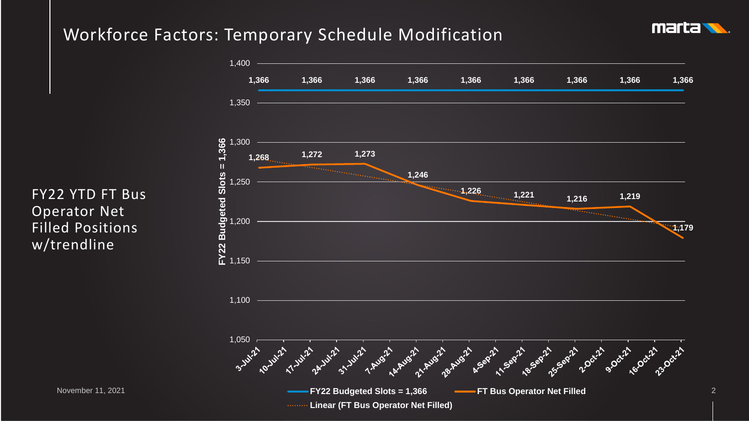### Workforce Factors: Temporary Schedule Modification





FY22 YTD FT Bus Operator Net Filled Positions w/trendline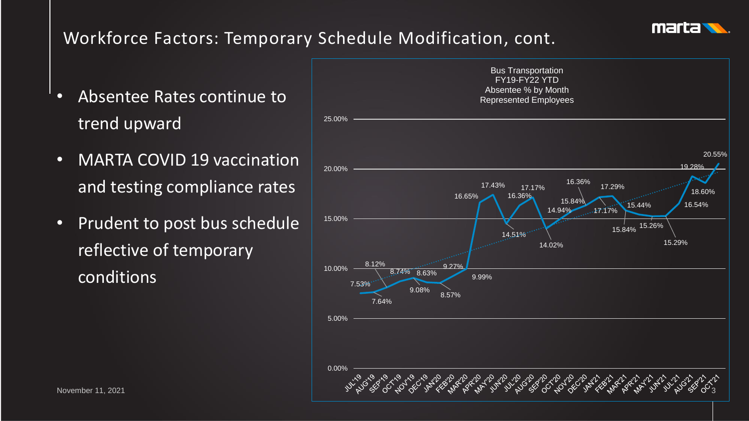

# Workforce Factors: Temporary Schedule Modification, cont.

- Absentee Rates continue to trend upward
- MARTA COVID 19 vaccination and testing compliance rates
- Prudent to post bus schedule reflective of temporary conditions

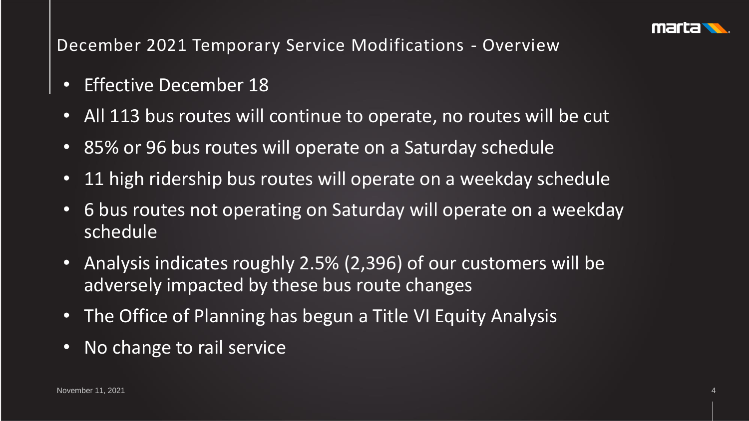

### December 2021 Temporary Service Modifications - Overview

- Effective December 18
- All 113 bus routes will continue to operate, no routes will be cut
- 85% or 96 bus routes will operate on a Saturday schedule
- 11 high ridership bus routes will operate on a weekday schedule
- 6 bus routes not operating on Saturday will operate on a weekday schedule
- Analysis indicates roughly 2.5% (2,396) of our customers will be adversely impacted by these bus route changes
- The Office of Planning has begun a Title VI Equity Analysis
- No change to rail service